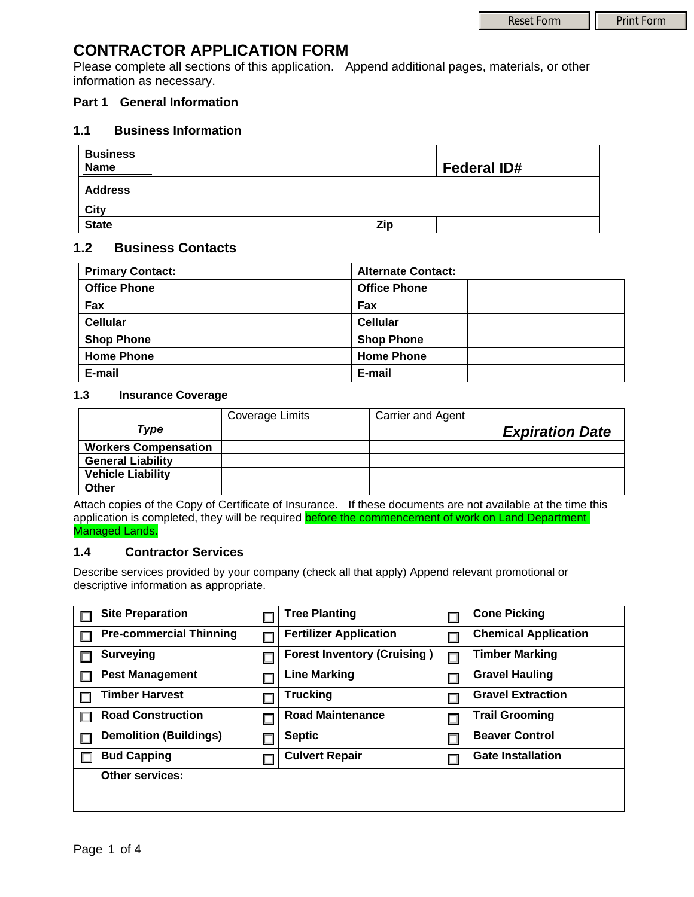# **CONTRACTOR APPLICATION FORM**

Please complete all sections of this application. Append additional pages, materials, or other information as necessary.

# **Part 1 General Information**

# **1.1 Business Information**

| <b>Business</b><br><b>Name</b> |     | <b>Federal ID#</b> |
|--------------------------------|-----|--------------------|
| <b>Address</b>                 |     |                    |
| City                           |     |                    |
| <b>State</b>                   | Zip |                    |

# **1.2 Business Contacts**

| <b>Primary Contact:</b> | <b>Alternate Contact:</b> |
|-------------------------|---------------------------|
| <b>Office Phone</b>     | <b>Office Phone</b>       |
| Fax                     | Fax                       |
| <b>Cellular</b>         | <b>Cellular</b>           |
| <b>Shop Phone</b>       | <b>Shop Phone</b>         |
| <b>Home Phone</b>       | <b>Home Phone</b>         |
| E-mail                  | E-mail                    |

### **1.3 Insurance Coverage**

|                             | Coverage Limits | <b>Carrier and Agent</b> |                        |
|-----------------------------|-----------------|--------------------------|------------------------|
| Type                        |                 |                          | <b>Expiration Date</b> |
| <b>Workers Compensation</b> |                 |                          |                        |
| <b>General Liability</b>    |                 |                          |                        |
| <b>Vehicle Liability</b>    |                 |                          |                        |
| Other                       |                 |                          |                        |

Attach copies of the Copy of Certificate of Insurance. If these documents are not available at the time this application is completed, they will be required **before the commencement of work on Land Department** Managed Lands.

### **1.4 Contractor Services**

Describe services provided by your company (check all that apply) Append relevant promotional or descriptive information as appropriate.

| <b>Site Preparation</b>        |  | <b>Tree Planting</b>               |   | <b>Cone Picking</b>         |
|--------------------------------|--|------------------------------------|---|-----------------------------|
| <b>Pre-commercial Thinning</b> |  | <b>Fertilizer Application</b>      |   | <b>Chemical Application</b> |
| <b>Surveying</b>               |  | <b>Forest Inventory (Cruising)</b> | П | <b>Timber Marking</b>       |
| <b>Pest Management</b>         |  | <b>Line Marking</b>                |   | <b>Gravel Hauling</b>       |
| <b>Timber Harvest</b>          |  | <b>Trucking</b>                    |   | <b>Gravel Extraction</b>    |
| <b>Road Construction</b>       |  | <b>Road Maintenance</b>            |   | <b>Trail Grooming</b>       |
| <b>Demolition (Buildings)</b>  |  | <b>Septic</b>                      |   | <b>Beaver Control</b>       |
| <b>Bud Capping</b>             |  | <b>Culvert Repair</b>              |   | <b>Gate Installation</b>    |
| <b>Other services:</b>         |  |                                    |   |                             |
|                                |  |                                    |   |                             |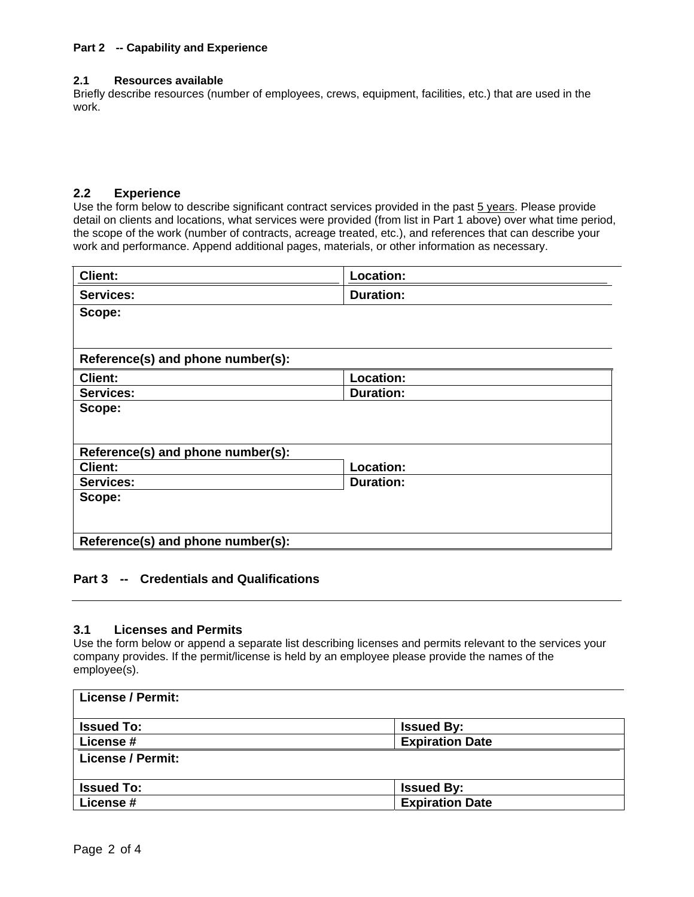#### **Part 2 -- Capability and Experience**

#### **2.1 Resources available**

Briefly describe resources (number of employees, crews, equipment, facilities, etc.) that are used in the work.

#### **2.2 Experience**

Use the form below to describe significant contract services provided in the past 5 years. Please provide detail on clients and locations, what services were provided (from list in Part 1 above) over what time period, the scope of the work (number of contracts, acreage treated, etc.), and references that can describe your work and performance. Append additional pages, materials, or other information as necessary.

| <b>Client:</b>                    | Location:        |
|-----------------------------------|------------------|
| <b>Services:</b>                  | <b>Duration:</b> |
| Scope:                            |                  |
|                                   |                  |
|                                   |                  |
| Reference(s) and phone number(s): |                  |
| Client:                           | Location:        |
| <b>Services:</b>                  | <b>Duration:</b> |
| Scope:                            |                  |
|                                   |                  |
|                                   |                  |
| Reference(s) and phone number(s): |                  |
| <b>Client:</b>                    | Location:        |
| <b>Services:</b>                  | <b>Duration:</b> |
| Scope:                            |                  |
|                                   |                  |
|                                   |                  |
| Reference(s) and phone number(s): |                  |
|                                   |                  |

# **Part 3 -- Credentials and Qualifications**

#### **3.1 Licenses and Permits**

Use the form below or append a separate list describing licenses and permits relevant to the services your company provides. If the permit/license is held by an employee please provide the names of the employee(s).

| <b>License / Permit:</b> |                        |  |
|--------------------------|------------------------|--|
| <b>Issued To:</b>        | <b>Issued By:</b>      |  |
| <b>License #</b>         | <b>Expiration Date</b> |  |
| <b>License / Permit:</b> |                        |  |
|                          |                        |  |
| <b>Issued To:</b>        | <b>Issued By:</b>      |  |
| License #                | <b>Expiration Date</b> |  |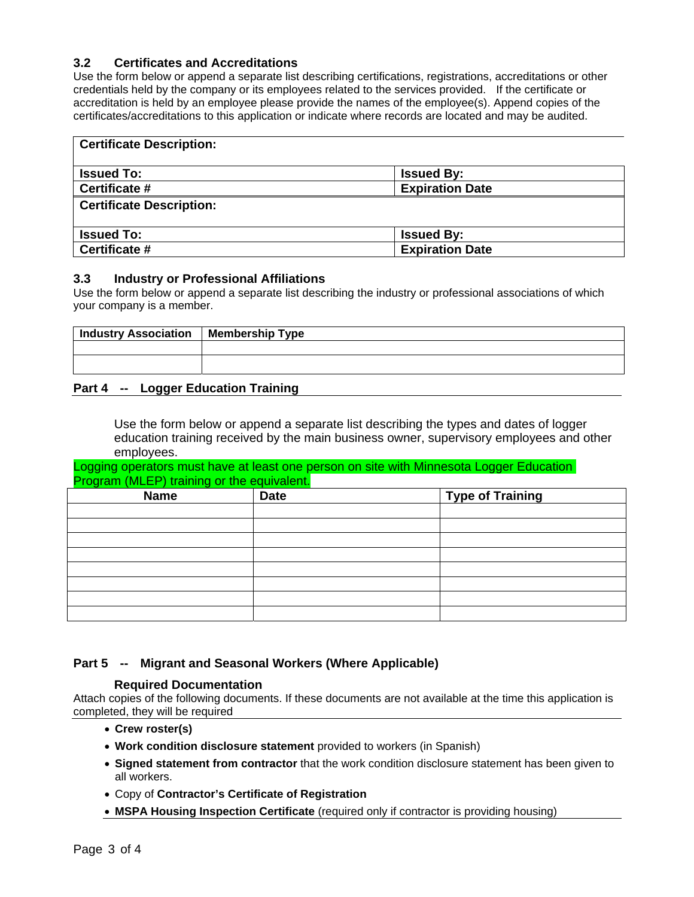# **3.2 Certificates and Accreditations**

Use the form below or append a separate list describing certifications, registrations, accreditations or other credentials held by the company or its employees related to the services provided. If the certificate or accreditation is held by an employee please provide the names of the employee(s). Append copies of the certificates/accreditations to this application or indicate where records are located and may be audited.

| <b>Certificate Description:</b> |                        |  |  |
|---------------------------------|------------------------|--|--|
| <b>Issued To:</b>               | <b>Issued By:</b>      |  |  |
| Certificate #                   | <b>Expiration Date</b> |  |  |
| <b>Certificate Description:</b> |                        |  |  |
|                                 |                        |  |  |
| <b>Issued To:</b>               | <b>Issued By:</b>      |  |  |
| Certificate #                   | <b>Expiration Date</b> |  |  |

#### **3.3 Industry or Professional Affiliations**

Use the form below or append a separate list describing the industry or professional associations of which your company is a member.

| Industry Association   Membership Type                 |  |
|--------------------------------------------------------|--|
|                                                        |  |
|                                                        |  |
| the property of the control of the control of the con- |  |

### **Part 4 -- Logger Education Training**

Use the form below or append a separate list describing the types and dates of logger education training received by the main business owner, supervisory employees and other employees.

Logging operators must have at least one person on site with Minnesota Logger Education Program (MLEP) training or the equivalent

| <b>Name</b> | <b>Date</b> | <b>Type of Training</b> |  |
|-------------|-------------|-------------------------|--|
|             |             |                         |  |
|             |             |                         |  |
|             |             |                         |  |
|             |             |                         |  |
|             |             |                         |  |
|             |             |                         |  |
|             |             |                         |  |
|             |             |                         |  |

# **Part 5 -- Migrant and Seasonal Workers (Where Applicable)**

### **Required Documentation**

Attach copies of the following documents. If these documents are not available at the time this application is completed, they will be required

- **Crew roster(s)**
- **Work condition disclosure statement** provided to workers (in Spanish)
- **Signed statement from contractor** that the work condition disclosure statement has been given to all workers.
- Copy of **Contractor's Certificate of Registration**
- **MSPA Housing Inspection Certificate** (required only if contractor is providing housing)